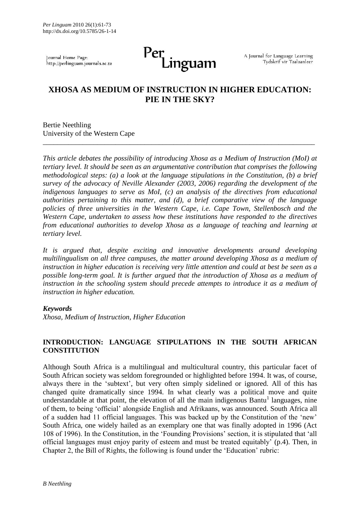Journal Home Page: http://perlinguam.journals.ac.za

# Per<br>Linguam

A Journal for Language Learning Tydskrif vir Taalaanleer

# **XHOSA AS MEDIUM OF INSTRUCTION IN HIGHER EDUCATION: PIE IN THE SKY?**

\_\_\_\_\_\_\_\_\_\_\_\_\_\_\_\_\_\_\_\_\_\_\_\_\_\_\_\_\_\_\_\_\_\_\_\_\_\_\_\_\_\_\_\_\_\_\_\_\_\_\_\_\_\_\_\_\_\_\_\_\_\_\_\_\_\_\_\_\_\_\_\_\_\_\_

Bertie Neethling University of the Western Cape

*This article debates the possibility of introducing Xhosa as a Medium of Instruction (MoI) at tertiary level. It should be seen as an argumentative contribution that comprises the following methodological steps: (a) a look at the language stipulations in the Constitution, (b) a brief survey of the advocacy of Neville Alexander (2003, 2006) regarding the development of the indigenous languages to serve as MoI, (c) an analysis of the directives from educational authorities pertaining to this matter, and (d), a brief comparative view of the language policies of three universities in the Western Cape, i.e. Cape Town, Stellenbosch and the Western Cape, undertaken to assess how these institutions have responded to the directives from educational authorities to develop Xhosa as a language of teaching and learning at tertiary level.*

*It is argued that, despite exciting and innovative developments around developing multilingualism on all three campuses, the matter around developing Xhosa as a medium of instruction in higher education is receiving very little attention and could at best be seen as a possible long-term goal. It is further argued that the introduction of Xhosa as a medium of instruction in the schooling system should precede attempts to introduce it as a medium of instruction in higher education.*

#### *Keywords*

*Xhosa, Medium of Instruction, Higher Education*

# **INTRODUCTION: LANGUAGE STIPULATIONS IN THE SOUTH AFRICAN CONSTITUTION**

Although South Africa is a multilingual and multicultural country, this particular facet of South African society was seldom foregrounded or highlighted before 1994. It was, of course, always there in the 'subtext', but very often simply sidelined or ignored. All of this has changed quite dramatically since 1994. In what clearly was a political move and quite understandable at that point, the elevation of all the main indigenous Bantu<sup>1</sup> languages, nine of them, to being 'official' alongside English and Afrikaans, was announced. South Africa all of a sudden had 11 official languages. This was backed up by the Constitution of the 'new' South Africa, one widely hailed as an exemplary one that was finally adopted in 1996 (Act 108 of 1996). In the Constitution, in the 'Founding Provisions' section, it is stipulated that 'all official languages must enjoy parity of esteem and must be treated equitably' (p.4). Then, in Chapter 2, the Bill of Rights, the following is found under the 'Education' rubric: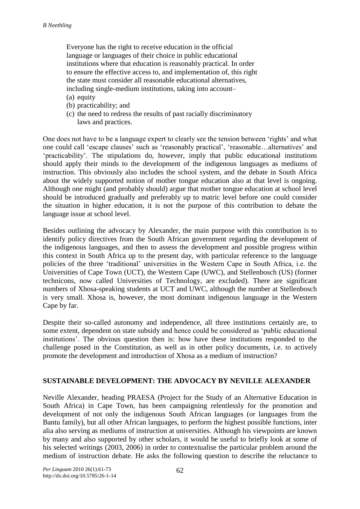Everyone has the right to receive education in the official language or languages of their choice in public educational institutions where that education is reasonably practical. In order to ensure the effective access to, and implementation of, this right the state must consider all reasonable educational alternatives, including single-medium institutions, taking into account– (a) equity

- (b) practicability; and
- (c) the need to redress the results of past racially discriminatory laws and practices.

One does not have to be a language expert to clearly see the tension between 'rights' and what one could call 'escape clauses' such as 'reasonably practical', 'reasonable…alternatives' and 'practicability'. The stipulations do, however, imply that public educational institutions should apply their minds to the development of the indigenous languages as mediums of instruction. This obviously also includes the school system, and the debate in South Africa about the widely supported notion of mother tongue education also at that level is ongoing. Although one might (and probably should) argue that mother tongue education at school level should be introduced gradually and preferably up to matric level before one could consider the situation in higher education, it is not the purpose of this contribution to debate the language issue at school level.

Besides outlining the advocacy by Alexander, the main purpose with this contribution is to identify policy directives from the South African government regarding the development of the indigenous languages, and then to assess the development and possible progress within this context in South Africa up to the present day, with particular reference to the language policies of the three 'traditional' universities in the Western Cape in South Africa, i.e. the Universities of Cape Town (UCT), the Western Cape (UWC), and Stellenbosch (US) (former technicons, now called Universities of Technology, are excluded). There are significant numbers of Xhosa-speaking students at UCT and UWC, although the number at Stellenbosch is very small. Xhosa is, however, the most dominant indigenous language in the Western Cape by far.

Despite their so-called autonomy and independence, all three institutions certainly are, to some extent, dependent on state subsidy and hence could be considered as 'public educational institutions'. The obvious question then is: how have these institutions responded to the challenge posed in the Constitution, as well as in other policy documents, i.e. to actively promote the development and introduction of Xhosa as a medium of instruction?

# **SUSTAINABLE DEVELOPMENT: THE ADVOCACY BY NEVILLE ALEXANDER**

Neville Alexander, heading PRAESA (Project for the Study of an Alternative Education in South Africa) in Cape Town, has been campaigning relentlessly for the promotion and development of not only the indigenous South African languages (or languages from the Bantu family), but all other African languages, to perform the highest possible functions, inter alia also serving as mediums of instruction at universities. Although his viewpoints are known by many and also supported by other scholars, it would be useful to briefly look at some of his selected writings (2003, 2006) in order to contextualise the particular problem around the medium of instruction debate. He asks the following question to describe the reluctance to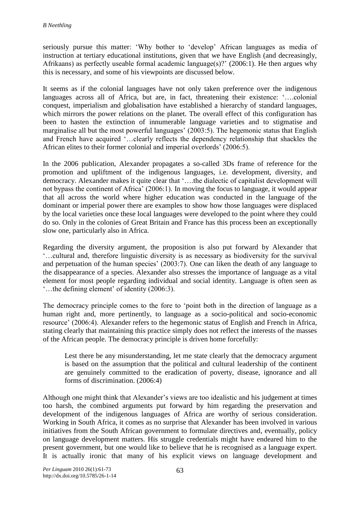seriously pursue this matter: 'Why bother to 'develop' African languages as media of instruction at tertiary educational institutions, given that we have English (and decreasingly, Afrikaans) as perfectly useable formal academic language(s)?' (2006:1). He then argues why this is necessary, and some of his viewpoints are discussed below.

It seems as if the colonial languages have not only taken preference over the indigenous languages across all of Africa, but are, in fact, threatening their existence: '….colonial conquest, imperialism and globalisation have established a hierarchy of standard languages, which mirrors the power relations on the planet. The overall effect of this configuration has been to hasten the extinction of innumerable language varieties and to stigmatise and marginalise all but the most powerful languages' (2003:5). The hegemonic status that English and French have acquired '…clearly reflects the dependency relationship that shackles the African elites to their former colonial and imperial overlords' (2006:5).

In the 2006 publication, Alexander propagates a so-called 3Ds frame of reference for the promotion and upliftment of the indigenous languages, i.e. development, diversity, and democracy. Alexander makes it quite clear that '….the dialectic of capitalist development will not bypass the continent of Africa' (2006:1). In moving the focus to language, it would appear that all across the world where higher education was conducted in the language of the dominant or imperial power there are examples to show how those languages were displaced by the local varieties once these local languages were developed to the point where they could do so. Only in the colonies of Great Britain and France has this process been an exceptionally slow one, particularly also in Africa.

Regarding the diversity argument, the proposition is also put forward by Alexander that '…cultural and, therefore linguistic diversity is as necessary as biodiversity for the survival and perpetuation of the human species' (2003:7). One can liken the death of any language to the disappearance of a species. Alexander also stresses the importance of language as a vital element for most people regarding individual and social identity. Language is often seen as '…the defining element' of identity (2006:3).

The democracy principle comes to the fore to 'point both in the direction of language as a human right and, more pertinently, to language as a socio-political and socio-economic resource' (2006:4). Alexander refers to the hegemonic status of English and French in Africa, stating clearly that maintaining this practice simply does not reflect the interests of the masses of the African people. The democracy principle is driven home forcefully:

Lest there be any misunderstanding, let me state clearly that the democracy argument is based on the assumption that the political and cultural leadership of the continent are genuinely committed to the eradication of poverty, disease, ignorance and all forms of discrimination. (2006:4)

Although one might think that Alexander's views are too idealistic and his judgement at times too harsh, the combined arguments put forward by him regarding the preservation and development of the indigenous languages of Africa are worthy of serious consideration. Working in South Africa, it comes as no surprise that Alexander has been involved in various initiatives from the South African government to formulate directives and, eventually, policy on language development matters. His struggle credentials might have endeared him to the present government, but one would like to believe that he is recognised as a language expert. It is actually ironic that many of his explicit views on language development and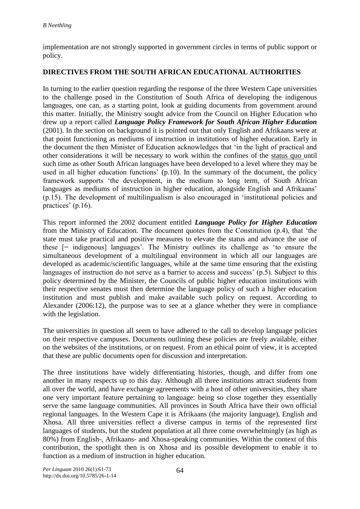implementation are not strongly supported in government circles in terms of public support or policy.

# **DIRECTIVES FROM THE SOUTH AFRICAN EDUCATIONAL AUTHORITIES**

In turning to the earlier question regarding the response of the three Western Cape universities to the challenge posed in the Constitution of South Africa of developing the indigenous languages, one can, as a starting point, look at guiding documents from government around this matter. Initially, the Ministry sought advice from the Council on Higher Education who drew up a report called *Language Policy Framework for South African Higher Education* (2001). In the section on background it is pointed out that only English and Afrikaans were at that point functioning as mediums of instruction in institutions of higher education. Early in the document the then Minister of Education acknowledges that 'in the light of practical and other considerations it will be necessary to work within the confines of the status quo until such time as other South African languages have been developed to a level where they may be used in all higher education functions' (p.10). In the summary of the document, the policy framework supports 'the development, in the medium to long term, of South African languages as mediums of instruction in higher education, alongside English and Afrikaans' (p.15). The development of multilingualism is also encouraged in 'institutional policies and practices' (p.16).

This report informed the 2002 document entitled *Language Policy for Higher Education* from the Ministry of Education. The document quotes from the Constitution (p.4), that 'the state must take practical and positive measures to elevate the status and advance the use of these [= indigenous] languages'. The Ministry outlines its challenge as 'to ensure the simultaneous development of a multilingual environment in which all our languages are developed as academic/scientific languages, while at the same time ensuring that the existing languages of instruction do not serve as a barrier to access and success' (p.5). Subject to this policy determined by the Minister, the Councils of public higher education institutions with their respective senates must then determine the language policy of such a higher education institution and must publish and make available such policy on request. According to Alexander (2006:12), the purpose was to see at a glance whether they were in compliance with the legislation.

The universities in question all seem to have adhered to the call to develop language policies on their respective campuses. Documents outlining these policies are freely available, either on the websites of the institutions, or on request. From an ethical point of view, it is accepted that these are public documents open for discussion and interpretation.

The three institutions have widely differentiating histories, though, and differ from one another in many respects up to this day. Although all three institutions attract students from all over the world, and have exchange agreements with a host of other universities, they share one very important feature pertaining to language: being so close together they essentially serve the same language communities. All provinces in South Africa have their own official regional languages. In the Western Cape it is Afrikaans (the majority language), English and Xhosa. All three universities reflect a diverse campus in terms of the represented first languages of students, but the student population at all three come overwhelmingly (as high as 80%) from English-, Afrikaans- and Xhosa-speaking communities. Within the context of this contribution, the spotlight then is on Xhosa and its possible development to enable it to function as a medium of instruction in higher education.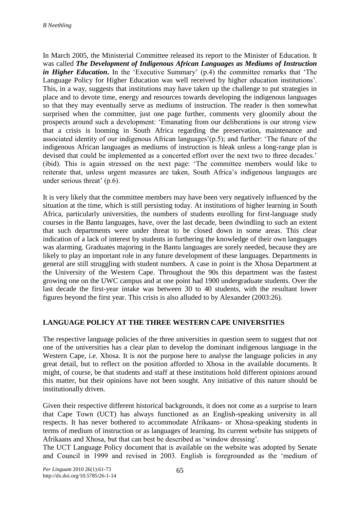In March 2005, the Ministerial Committee released its report to the Minister of Education. It was called *The Development of Indigenous African Languages as Mediums of Instruction in Higher Education*. In the 'Executive Summary' (p.4) the committee remarks that 'The Language Policy for Higher Education was well received by higher education institutions'. This, in a way, suggests that institutions may have taken up the challenge to put strategies in place and to devote time, energy and resources towards developing the indigenous languages so that they may eventually serve as mediums of instruction. The reader is then somewhat surprised when the committee, just one page further, comments very gloomily about the prospects around such a development: 'Emanating from our deliberations is our strong view that a crisis is looming in South Africa regarding the preservation, maintenance and associated identity of our indigenous African languages'(p.5); and further: 'The future of the indigenous African languages as mediums of instruction is bleak unless a long-range plan is devised that could be implemented as a concerted effort over the next two to three decades.' (ibid). This is again stressed on the next page: 'The committee members would like to reiterate that, unless urgent measures are taken, South Africa's indigenous languages are under serious threat' (p.6).

It is very likely that the committee members may have been very negatively influenced by the situation at the time, which is still persisting today. At institutions of higher learning in South Africa, particularly universities, the numbers of students enrolling for first-language study courses in the Bantu languages, have, over the last decade, been dwindling to such an extent that such departments were under threat to be closed down in some areas. This clear indication of a lack of interest by students in furthering the knowledge of their own languages was alarming. Graduates majoring in the Bantu languages are sorely needed, because they are likely to play an important role in any future development of these languages. Departments in general are still struggling with student numbers. A case in point is the Xhosa Department at the University of the Western Cape. Throughout the 90s this department was the fastest growing one on the UWC campus and at one point had 1900 undergraduate students. Over the last decade the first-year intake was between 30 to 40 students, with the resultant lower figures beyond the first year. This crisis is also alluded to by Alexander (2003:26).

# **LANGUAGE POLICY AT THE THREE WESTERN CAPE UNIVERSITIES**

The respective language policies of the three universities in question seem to suggest that not one of the universities has a clear plan to develop the dominant indigenous language in the Western Cape, i.e. Xhosa. It is not the purpose here to analyse the language policies in any great detail, but to reflect on the position afforded to Xhosa in the available documents. It might, of course, be that students and staff at these institutions hold different opinions around this matter, but their opinions have not been sought. Any initiative of this nature should be institutionally driven.

Given their respective different historical backgrounds, it does not come as a surprise to learn that Cape Town (UCT) has always functioned as an English-speaking university in all respects. It has never bothered to accommodate Afrikaans- or Xhosa-speaking students in terms of medium of instruction or as languages of learning. Its current website has snippets of Afrikaans and Xhosa, but that can best be described as 'window dressing'.

The UCT Language Policy document that is available on the website was adopted by Senate and Council in 1999 and revised in 2003. English is foregrounded as the 'medium of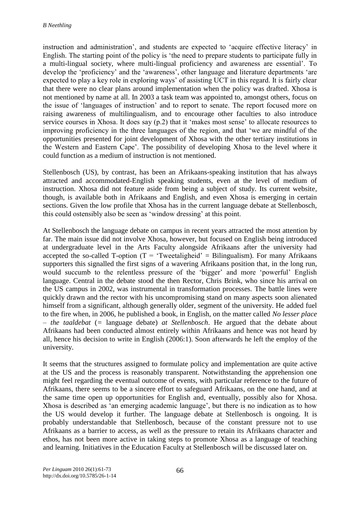instruction and administration', and students are expected to 'acquire effective literacy' in English. The starting point of the policy is 'the need to prepare students to participate fully in a multi-lingual society, where multi-lingual proficiency and awareness are essential'. To develop the 'proficiency' and the 'awareness', other language and literature departments 'are expected to play a key role in exploring ways' of assisting UCT in this regard. It is fairly clear that there were no clear plans around implementation when the policy was drafted. Xhosa is not mentioned by name at all. In 2003 a task team was appointed to, amongst others, focus on the issue of 'languages of instruction' and to report to senate. The report focused more on raising awareness of multilingualism, and to encourage other faculties to also introduce service courses in Xhosa. It does say (p.2) that it 'makes most sense' to allocate resources to improving proficiency in the three languages of the region, and that 'we are mindful of the opportunities presented for joint development of Xhosa with the other tertiary institutions in the Western and Eastern Cape'. The possibility of developing Xhosa to the level where it could function as a medium of instruction is not mentioned.

Stellenbosch (US), by contrast, has been an Afrikaans-speaking institution that has always attracted and accommodated-English speaking students, even at the level of medium of instruction. Xhosa did not feature aside from being a subject of study. Its current website, though, is available both in Afrikaans and English, and even Xhosa is emerging in certain sections. Given the low profile that Xhosa has in the current language debate at Stellenbosch, this could ostensibly also be seen as 'window dressing' at this point.

At Stellenbosch the language debate on campus in recent years attracted the most attention by far. The main issue did not involve Xhosa, however, but focused on English being introduced at undergraduate level in the Arts Faculty alongside Afrikaans after the university had accepted the so-called T-option  $(T = 'Tweetaligheid' = Bilingualism)$ . For many Afrikaans supporters this signalled the first signs of a wavering Afrikaans position that, in the long run, would succumb to the relentless pressure of the 'bigger' and more 'powerful' English language. Central in the debate stood the then Rector, Chris Brink, who since his arrival on the US campus in 2002, was instrumental in transformation processes. The battle lines were quickly drawn and the rector with his uncompromising stand on many aspects soon alienated himself from a significant, although generally older, segment of the university. He added fuel to the fire when, in 2006, he published a book, in English, on the matter called *No lesser place*  – *the taaldebat* (*=* language debate) *at Stellenbosch*. He argued that the debate about Afrikaans had been conducted almost entirely within Afrikaans and hence was not heard by all, hence his decision to write in English (2006:1). Soon afterwards he left the employ of the university.

It seems that the structures assigned to formulate policy and implementation are quite active at the US and the process is reasonably transparent. Notwithstanding the apprehension one might feel regarding the eventual outcome of events, with particular reference to the future of Afrikaans, there seems to be a sincere effort to safeguard Afrikaans, on the one hand, and at the same time open up opportunities for English and, eventually, possibly also for Xhosa. Xhosa is described as 'an emerging academic language', but there is no indication as to how the US would develop it further. The language debate at Stellenbosch is ongoing. It is probably understandable that Stellenbosch, because of the constant pressure not to use Afrikaans as a barrier to access, as well as the pressure to retain its Afrikaans character and ethos, has not been more active in taking steps to promote Xhosa as a language of teaching and learning. Initiatives in the Education Faculty at Stellenbosch will be discussed later on.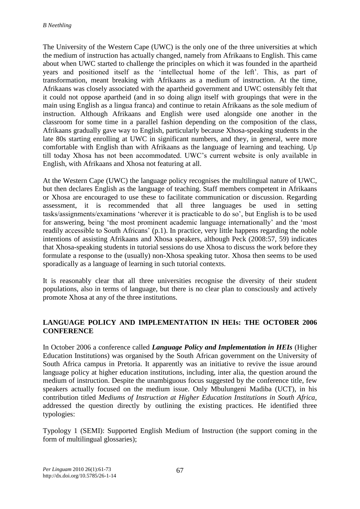The University of the Western Cape (UWC) is the only one of the three universities at which the medium of instruction has actually changed, namely from Afrikaans to English. This came about when UWC started to challenge the principles on which it was founded in the apartheid years and positioned itself as the 'intellectual home of the left'. This, as part of transformation, meant breaking with Afrikaans as a medium of instruction. At the time, Afrikaans was closely associated with the apartheid government and UWC ostensibly felt that it could not oppose apartheid (and in so doing align itself with groupings that were in the main using English as a lingua franca) and continue to retain Afrikaans as the sole medium of instruction. Although Afrikaans and English were used alongside one another in the classroom for some time in a parallel fashion depending on the composition of the class, Afrikaans gradually gave way to English, particularly because Xhosa-speaking students in the late 80s starting enrolling at UWC in significant numbers, and they, in general, were more comfortable with English than with Afrikaans as the language of learning and teaching. Up till today Xhosa has not been accommodated. UWC's current website is only available in English, with Afrikaans and Xhosa not featuring at all.

At the Western Cape (UWC) the language policy recognises the multilingual nature of UWC, but then declares English as the language of teaching. Staff members competent in Afrikaans or Xhosa are encouraged to use these to facilitate communication or discussion. Regarding assessment, it is recommended that all three languages be used in setting tasks/assignments/examinations 'wherever it is practicable to do so', but English is to be used for answering, being 'the most prominent academic language internationally' and the 'most readily accessible to South Africans' (p.1). In practice, very little happens regarding the noble intentions of assisting Afrikaans and Xhosa speakers, although Peck (2008:57, 59) indicates that Xhosa-speaking students in tutorial sessions do use Xhosa to discuss the work before they formulate a response to the (usually) non-Xhosa speaking tutor. Xhosa then seems to be used sporadically as a language of learning in such tutorial contexts.

It is reasonably clear that all three universities recognise the diversity of their student populations, also in terms of language, but there is no clear plan to consciously and actively promote Xhosa at any of the three institutions.

# **LANGUAGE POLICY AND IMPLEMENTATION IN HEIs: THE OCTOBER 2006 CONFERENCE**

In October 2006 a conference called *Language Policy and Implementation in HEIs* (Higher Education Institutions) was organised by the South African government on the University of South Africa campus in Pretoria. It apparently was an initiative to revive the issue around language policy at higher education institutions, including, inter alia, the question around the medium of instruction. Despite the unambiguous focus suggested by the conference title, few speakers actually focused on the medium issue. Only Mbulungeni Madiba (UCT), in his contribution titled *Mediums of Instruction at Higher Education Institutions in South Africa,*  addressed the question directly by outlining the existing practices. He identified three typologies:

Typology 1 (SEMI): Supported English Medium of Instruction (the support coming in the form of multilingual glossaries);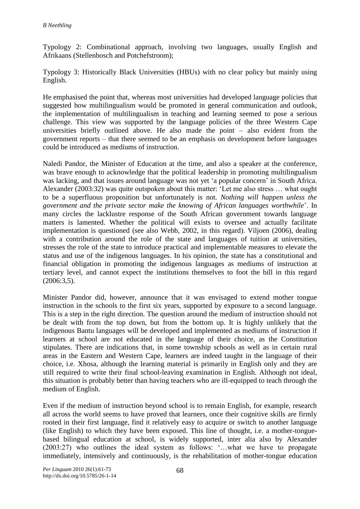Typology 2: Combinational approach, involving two languages, usually English and Afrikaans (Stellenbosch and Potchefstroom);

Typology 3: Historically Black Universities (HBUs) with no clear policy but mainly using English.

He emphasised the point that, whereas most universities had developed language policies that suggested how multilingualism would be promoted in general communication and outlook, the implementation of multilingualism in teaching and learning seemed to pose a serious challenge. This view was supported by the language policies of the three Western Cape universities briefly outlined above. He also made the point – also evident from the government reports – that there seemed to be an emphasis on development before languages could be introduced as mediums of instruction.

Naledi Pandor, the Minister of Education at the time, and also a speaker at the conference, was brave enough to acknowledge that the political leadership in promoting multilingualism was lacking, and that issues around language was not yet 'a popular concern' in South Africa. Alexander (2003:32) was quite outspoken about this matter: 'Let me also stress … what ought to be a superfluous proposition but unfortunately is not. *Nothing will happen unless the government and the private sector make the knowing of African languages worthwhile*'. In many circles the lacklustre response of the South African government towards language matters is lamented. Whether the political will exists to oversee and actually facilitate implementation is questioned (see also Webb, 2002, in this regard). Viljoen (2006), dealing with a contribution around the role of the state and languages of tuition at universities, stresses the role of the state to introduce practical and implementable measures to elevate the status and use of the indigenous languages. In his opinion, the state has a constitutional and financial obligation in promoting the indigenous languages as mediums of instruction at tertiary level, and cannot expect the institutions themselves to foot the bill in this regard (2006:3,5).

Minister Pandor did, however, announce that it was envisaged to extend mother tongue instruction in the schools to the first six years, supported by exposure to a second language. This is a step in the right direction. The question around the medium of instruction should not be dealt with from the top down, but from the bottom up. It is highly unlikely that the indigenous Bantu languages will be developed and implemented as mediums of instruction if learners at school are not educated in the language of their choice, as the Constitution stipulates. There are indications that, in some township schools as well as in certain rural areas in the Eastern and Western Cape, learners are indeed taught in the language of their choice, i.e. Xhosa, although the learning material is primarily in English only and they are still required to write their final school-leaving examination in English. Although not ideal, this situation is probably better than having teachers who are ill-equipped to teach through the medium of English.

Even if the medium of instruction beyond school is to remain English, for example, research all across the world seems to have proved that learners, once their cognitive skills are firmly rooted in their first language, find it relatively easy to acquire or switch to another language (like English) to which they have been exposed. This line of thought, i.e. a mother-tonguebased bilingual education at school, is widely supported, inter alia also by Alexander (2003:27) who outlines the ideal system as follows: '…what we have to propagate immediately, intensively and continuously, is the rehabilitation of mother-tongue education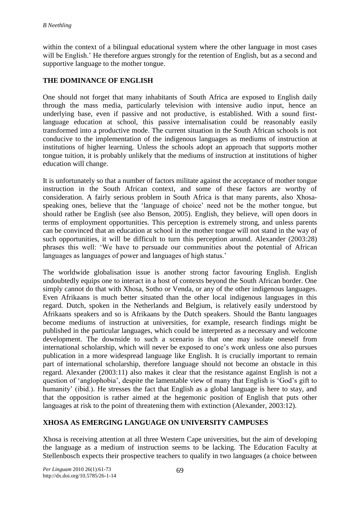within the context of a bilingual educational system where the other language in most cases will be English.' He therefore argues strongly for the retention of English, but as a second and supportive language to the mother tongue.

# **THE DOMINANCE OF ENGLISH**

One should not forget that many inhabitants of South Africa are exposed to English daily through the mass media, particularly television with intensive audio input, hence an underlying base, even if passive and not productive, is established. With a sound firstlanguage education at school, this passive internalisation could be reasonably easily transformed into a productive mode. The current situation in the South African schools is not conducive to the implementation of the indigenous languages as mediums of instruction at institutions of higher learning. Unless the schools adopt an approach that supports mother tongue tuition, it is probably unlikely that the mediums of instruction at institutions of higher education will change.

It is unfortunately so that a number of factors militate against the acceptance of mother tongue instruction in the South African context, and some of these factors are worthy of consideration. A fairly serious problem in South Africa is that many parents, also Xhosaspeaking ones, believe that the 'language of choice' need not be the mother tongue, but should rather be English (see also Benson, 2005). English, they believe, will open doors in terms of employment opportunities. This perception is extremely strong, and unless parents can be convinced that an education at school in the mother tongue will not stand in the way of such opportunities, it will be difficult to turn this perception around. Alexander (2003:28) phrases this well: 'We have to persuade our communities about the potential of African languages as languages of power and languages of high status.'

The worldwide globalisation issue is another strong factor favouring English. English undoubtedly equips one to interact in a host of contexts beyond the South African border. One simply cannot do that with Xhosa, Sotho or Venda, or any of the other indigenous languages. Even Afrikaans is much better situated than the other local indigenous languages in this regard. Dutch, spoken in the Netherlands and Belgium, is relatively easily understood by Afrikaans speakers and so is Afrikaans by the Dutch speakers. Should the Bantu languages become mediums of instruction at universities, for example, research findings might be published in the particular languages, which could be interpreted as a necessary and welcome development. The downside to such a scenario is that one may isolate oneself from international scholarship, which will never be exposed to one's work unless one also pursues publication in a more widespread language like English. It is crucially important to remain part of international scholarship, therefore language should not become an obstacle in this regard. Alexander (2003:11) also makes it clear that the resistance against English is not a question of 'anglophobia', despite the lamentable view of many that English is 'God's gift to humanity' (ibid.). He stresses the fact that English as a global language is here to stay, and that the opposition is rather aimed at the hegemonic position of English that puts other languages at risk to the point of threatening them with extinction (Alexander, 2003:12).

# **XHOSA AS EMERGING LANGUAGE ON UNIVERSITY CAMPUSES**

Xhosa is receiving attention at all three Western Cape universities, but the aim of developing the language as a medium of instruction seems to be lacking. The Education Faculty at Stellenbosch expects their prospective teachers to qualify in two languages (a choice between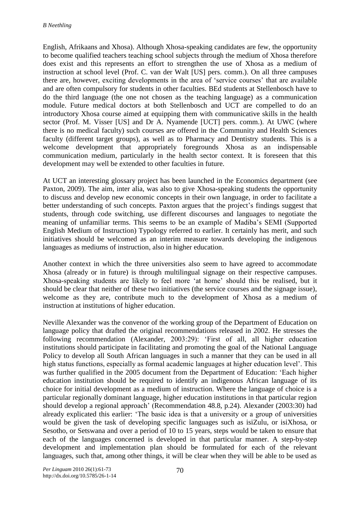English, Afrikaans and Xhosa). Although Xhosa-speaking candidates are few, the opportunity to become qualified teachers teaching school subjects through the medium of Xhosa therefore does exist and this represents an effort to strengthen the use of Xhosa as a medium of instruction at school level (Prof. C. van der Walt [US] pers. comm.). On all three campuses there are, however, exciting developments in the area of 'service courses' that are available and are often compulsory for students in other faculties. BEd students at Stellenbosch have to do the third language (the one not chosen as the teaching language) as a communication module. Future medical doctors at both Stellenbosch and UCT are compelled to do an introductory Xhosa course aimed at equipping them with communicative skills in the health sector (Prof. M. Visser [US] and Dr A. Nyamende [UCT] pers. comm.). At UWC (where there is no medical faculty) such courses are offered in the Community and Health Sciences faculty (different target groups), as well as to Pharmacy and Dentistry students. This is a welcome development that appropriately foregrounds Xhosa as an indispensable communication medium, particularly in the health sector context. It is foreseen that this development may well be extended to other faculties in future.

At UCT an interesting glossary project has been launched in the Economics department (see Paxton, 2009). The aim, inter alia, was also to give Xhosa-speaking students the opportunity to discuss and develop new economic concepts in their own language, in order to facilitate a better understanding of such concepts. Paxton argues that the project's findings suggest that students, through code switching, use different discourses and languages to negotiate the meaning of unfamiliar terms. This seems to be an example of Madiba's SEMI (Supported English Medium of Instruction) Typology referred to earlier. It certainly has merit, and such initiatives should be welcomed as an interim measure towards developing the indigenous languages as mediums of instruction, also in higher education.

Another context in which the three universities also seem to have agreed to accommodate Xhosa (already or in future) is through multilingual signage on their respective campuses. Xhosa-speaking students are likely to feel more 'at home' should this be realised, but it should be clear that neither of these two initiatives (the service courses and the signage issue), welcome as they are, contribute much to the development of Xhosa as a medium of instruction at institutions of higher education.

Neville Alexander was the convenor of the working group of the Department of Education on language policy that drafted the original recommendations released in 2002. He stresses the following recommendation (Alexander, 2003:29): 'First of all, all higher education institutions should participate in facilitating and promoting the goal of the National Language Policy to develop all South African languages in such a manner that they can be used in all high status functions, especially as formal academic languages at higher education level'. This was further qualified in the 2005 document from the Department of Education: 'Each higher education institution should be required to identify an indigenous African language of its choice for initial development as a medium of instruction. Where the language of choice is a particular regionally dominant language, higher education institutions in that particular region should develop a regional approach' (Recommendation 48.8, p.24). Alexander (2003:30) had already explicated this earlier: 'The basic idea is that a university or a group of universities would be given the task of developing specific languages such as isiZulu, or isiXhosa, or Sesotho, or Setswana and over a period of 10 to 15 years, steps would be taken to ensure that each of the languages concerned is developed in that particular manner. A step-by-step development and implementation plan should be formulated for each of the relevant languages, such that, among other things, it will be clear when they will be able to be used as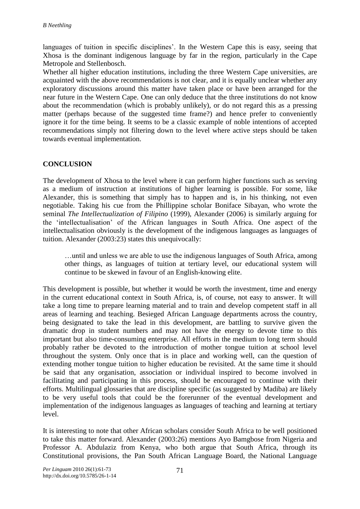languages of tuition in specific disciplines'. In the Western Cape this is easy, seeing that Xhosa is the dominant indigenous language by far in the region, particularly in the Cape Metropole and Stellenbosch.

Whether all higher education institutions, including the three Western Cape universities, are acquainted with the above recommendations is not clear, and it is equally unclear whether any exploratory discussions around this matter have taken place or have been arranged for the near future in the Western Cape. One can only deduce that the three institutions do not know about the recommendation (which is probably unlikely), or do not regard this as a pressing matter (perhaps because of the suggested time frame?) and hence prefer to conveniently ignore it for the time being. It seems to be a classic example of noble intentions of accepted recommendations simply not filtering down to the level where active steps should be taken towards eventual implementation.

# **CONCLUSION**

The development of Xhosa to the level where it can perform higher functions such as serving as a medium of instruction at institutions of higher learning is possible. For some, like Alexander, this is something that simply has to happen and is, in his thinking, not even negotiable. Taking his cue from the Phillippine scholar Boniface Sibayan, who wrote the seminal *The Intellectualization of Filipino* (1999), Alexander (2006) is similarly arguing for the 'intellectualisation' of the African languages in South Africa. One aspect of the intellectualisation obviously is the development of the indigenous languages as languages of tuition. Alexander (2003:23) states this unequivocally:

…until and unless we are able to use the indigenous languages of South Africa, among other things, as languages of tuition at tertiary level, our educational system will continue to be skewed in favour of an English-knowing elite.

This development is possible, but whether it would be worth the investment, time and energy in the current educational context in South Africa, is, of course, not easy to answer. It will take a long time to prepare learning material and to train and develop competent staff in all areas of learning and teaching. Besieged African Language departments across the country, being designated to take the lead in this development, are battling to survive given the dramatic drop in student numbers and may not have the energy to devote time to this important but also time-consuming enterprise. All efforts in the medium to long term should probably rather be devoted to the introduction of mother tongue tuition at school level throughout the system. Only once that is in place and working well, can the question of extending mother tongue tuition to higher education be revisited. At the same time it should be said that any organisation, association or individual inspired to become involved in facilitating and participating in this process, should be encouraged to continue with their efforts. Multilingual glossaries that are discipline specific (as suggested by Madiba) are likely to be very useful tools that could be the forerunner of the eventual development and implementation of the indigenous languages as languages of teaching and learning at tertiary level.

It is interesting to note that other African scholars consider South Africa to be well positioned to take this matter forward. Alexander (2003:26) mentions Ayo Bamgbose from Nigeria and Professor A. Abdulaziz from Kenya, who both argue that South Africa, through its Constitutional provisions, the Pan South African Language Board, the National Language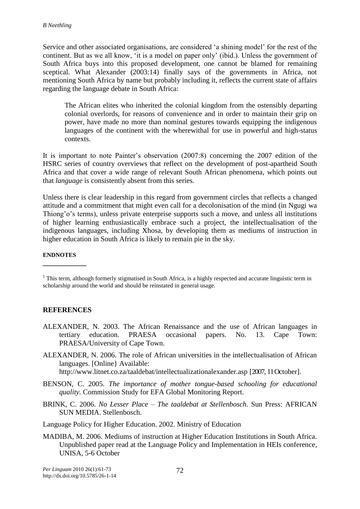Service and other associated organisations, are considered 'a shining model' for the rest of the continent. But as we all know, 'it is a model on paper only' (ibid.). Unless the government of South Africa buys into this proposed development, one cannot be blamed for remaining sceptical. What Alexander (2003:14) finally says of the governments in Africa, not mentioning South Africa by name but probably including it, reflects the current state of affairs regarding the language debate in South Africa:

The African elites who inherited the colonial kingdom from the ostensibly departing colonial overlords, for reasons of convenience and in order to maintain their grip on power, have made no more than nominal gestures towards equipping the indigenous languages of the continent with the wherewithal for use in powerful and high-status contexts.

It is important to note Painter's observation (2007:8) concerning the 2007 edition of the HSRC series of country overviews that reflect on the development of post-apartheid South Africa and that cover a wide range of relevant South African phenomena, which points out that *language* is consistently absent from this series.

Unless there is clear leadership in this regard from government circles that reflects a changed attitude and a commitment that might even call for a decolonisation of the mind (in Ngugi wa Thiong'o's terms), unless private enterprise supports such a move, and unless all institutions of higher learning enthusiastically embrace such a project, the intellectualisation of the indigenous languages, including Xhosa, by developing them as mediums of instruction in higher education in South Africa is likely to remain pie in the sky.

#### **ENDNOTES**

**\_\_\_\_\_\_\_\_\_\_\_\_**

#### **REFERENCES**

- ALEXANDER, N. 2003. The African Renaissance and the use of African languages in tertiary education. PRAESA occasional papers. No. 13. Cape Town: PRAESA/University of Cape Town.
- ALEXANDER, N. 2006. The role of African universities in the intellectualisation of African languages. [Online} Available: <http://www.litnet.co.za/taaldebat/intellectualizationalexander.asp> [2007, 11 October].
- BENSON, C. 2005. *The importance of mother tongue-based schooling for educational quality.* Commission Study for EFA Global Monitoring Report.
- BRINK, C. 2006. *No Lesser Place – The taaldebat at Stellenbosch*. Sun Press: AFRICAN SUN MEDIA. Stellenbosch.
- Language Policy for Higher Education. 2002. Ministry of Education
- MADIBA, M. 2006. Mediums of instruction at Higher Education Institutions in South Africa. Unpublished paper read at the Language Policy and Implementation in HEIs conference, UNISA, 5-6 October

 $1$  This term, although formerly stigmatised in South Africa, is a highly respected and accurate linguistic term in scholarship around the world and should be reinstated in general usage.